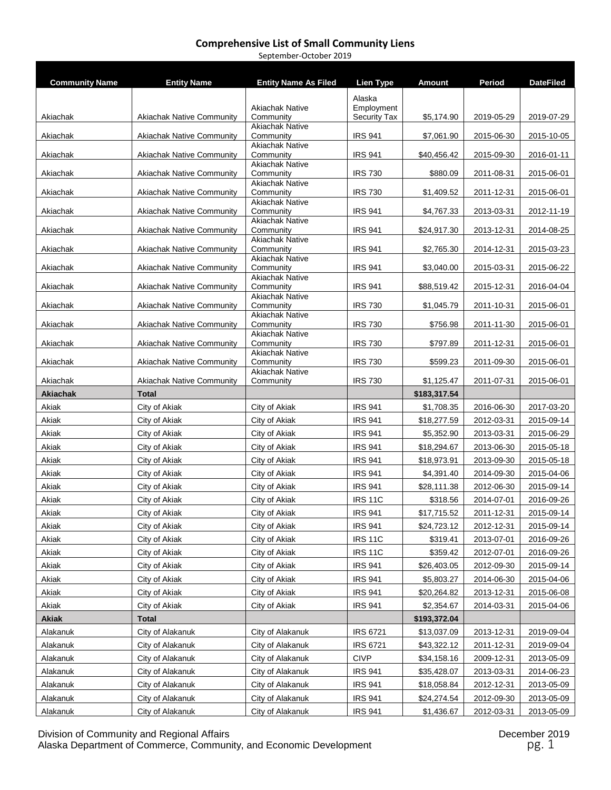| <b>Community Name</b> | <b>Entity Name</b>                   | <b>Entity Name As Filed</b>          | <b>Lien Type</b>                 | <b>Amount</b>             | Period     | <b>DateFiled</b>         |
|-----------------------|--------------------------------------|--------------------------------------|----------------------------------|---------------------------|------------|--------------------------|
|                       |                                      |                                      |                                  |                           |            |                          |
|                       |                                      | <b>Akiachak Native</b>               | Alaska<br>Employment             |                           |            |                          |
| Akiachak              | <b>Akiachak Native Community</b>     | Community                            | <b>Security Tax</b>              | \$5,174.90                | 2019-05-29 | 2019-07-29               |
| Akiachak              | <b>Akiachak Native Community</b>     | <b>Akiachak Native</b><br>Community  | <b>IRS 941</b>                   | \$7,061.90                | 2015-06-30 | 2015-10-05               |
|                       |                                      | <b>Akiachak Native</b>               |                                  |                           |            |                          |
| Akiachak              | <b>Akiachak Native Community</b>     | Community                            | <b>IRS 941</b>                   | \$40,456.42               | 2015-09-30 | 2016-01-11               |
| Akiachak              | <b>Akiachak Native Community</b>     | <b>Akiachak Native</b><br>Community  | <b>IRS 730</b>                   | \$880.09                  | 2011-08-31 | 2015-06-01               |
| Akiachak              | <b>Akiachak Native Community</b>     | <b>Akiachak Native</b><br>Community  | <b>IRS 730</b>                   | \$1,409.52                | 2011-12-31 | 2015-06-01               |
|                       |                                      | <b>Akiachak Native</b>               |                                  |                           |            |                          |
| Akiachak              | <b>Akiachak Native Community</b>     | Community<br><b>Akiachak Native</b>  | <b>IRS 941</b>                   | \$4,767.33                | 2013-03-31 | 2012-11-19               |
| Akiachak              | <b>Akiachak Native Community</b>     | Community                            | <b>IRS 941</b>                   | \$24,917.30               | 2013-12-31 | 2014-08-25               |
| Akiachak              | <b>Akiachak Native Community</b>     | <b>Akiachak Native</b><br>Community  | <b>IRS 941</b>                   | \$2,765.30                | 2014-12-31 | 2015-03-23               |
|                       |                                      | <b>Akiachak Native</b>               |                                  |                           |            |                          |
| Akiachak              | <b>Akiachak Native Community</b>     | Community<br><b>Akiachak Native</b>  | <b>IRS 941</b>                   | \$3,040.00                | 2015-03-31 | 2015-06-22               |
| Akiachak              | <b>Akiachak Native Community</b>     | Community                            | <b>IRS 941</b>                   | \$88,519.42               | 2015-12-31 | 2016-04-04               |
| Akiachak              | <b>Akiachak Native Community</b>     | <b>Akiachak Native</b><br>Community  | <b>IRS 730</b>                   | \$1,045.79                | 2011-10-31 | 2015-06-01               |
|                       |                                      | <b>Akiachak Native</b>               |                                  | \$756.98                  |            |                          |
| Akiachak              | <b>Akiachak Native Community</b>     | Community<br><b>Akiachak Native</b>  | <b>IRS 730</b>                   |                           | 2011-11-30 | 2015-06-01               |
| Akiachak              | <b>Akiachak Native Community</b>     | Community                            | <b>IRS 730</b>                   | \$797.89                  | 2011-12-31 | 2015-06-01               |
| Akiachak              | <b>Akiachak Native Community</b>     | <b>Akiachak Native</b><br>Community  | <b>IRS 730</b>                   | \$599.23                  | 2011-09-30 | 2015-06-01               |
| Akiachak              | <b>Akiachak Native Community</b>     | <b>Akiachak Native</b><br>Community  | <b>IRS 730</b>                   | \$1,125.47                | 2011-07-31 | 2015-06-01               |
| Akiachak              | <b>Total</b>                         |                                      |                                  | \$183,317.54              |            |                          |
| Akiak                 | City of Akiak                        | City of Akiak                        | <b>IRS 941</b>                   | \$1,708.35                | 2016-06-30 | 2017-03-20               |
| Akiak                 | City of Akiak                        | City of Akiak                        | <b>IRS 941</b>                   | \$18,277.59               | 2012-03-31 | 2015-09-14               |
| Akiak                 | City of Akiak                        | City of Akiak                        | <b>IRS 941</b>                   | \$5,352.90                | 2013-03-31 | 2015-06-29               |
| Akiak                 | City of Akiak                        | City of Akiak                        | <b>IRS 941</b>                   | \$18,294.67               | 2013-06-30 | 2015-05-18               |
| Akiak                 | City of Akiak                        | City of Akiak                        | <b>IRS 941</b>                   | \$18,973.91               | 2013-09-30 | 2015-05-18               |
| Akiak                 | City of Akiak                        | City of Akiak                        | <b>IRS 941</b>                   | \$4,391.40                | 2014-09-30 | 2015-04-06               |
| Akiak                 | City of Akiak                        | City of Akiak                        | <b>IRS 941</b>                   | \$28,111.38               | 2012-06-30 | 2015-09-14               |
| Akiak                 | City of Akiak                        | City of Akiak                        | <b>IRS 11C</b>                   | \$318.56                  | 2014-07-01 | 2016-09-26               |
| Akiak                 | City of Akiak                        | City of Akiak                        | <b>IRS 941</b>                   | \$17,715.52               | 2011-12-31 | 2015-09-14               |
| Akiak                 | City of Akiak                        | City of Akiak                        | <b>IRS 941</b>                   | \$24,723.12               | 2012-12-31 | 2015-09-14               |
| Akiak                 | City of Akiak                        | City of Akiak                        | <b>IRS 11C</b>                   | \$319.41                  | 2013-07-01 | 2016-09-26               |
| Akiak                 | City of Akiak                        | City of Akiak                        | <b>IRS 11C</b>                   | \$359.42                  | 2012-07-01 | 2016-09-26               |
| Akiak                 | City of Akiak                        | City of Akiak                        | <b>IRS 941</b>                   | \$26,403.05               | 2012-09-30 | 2015-09-14               |
| Akiak                 | City of Akiak                        | City of Akiak                        | <b>IRS 941</b>                   | \$5,803.27                | 2014-06-30 | 2015-04-06               |
| Akiak                 | City of Akiak                        | City of Akiak                        | <b>IRS 941</b>                   | \$20,264.82               | 2013-12-31 | 2015-06-08               |
| Akiak                 | City of Akiak                        | City of Akiak                        | <b>IRS 941</b>                   | \$2,354.67                | 2014-03-31 | 2015-04-06               |
| <b>Akiak</b>          | <b>Total</b>                         |                                      |                                  | \$193,372.04              |            |                          |
| Alakanuk              | City of Alakanuk                     | City of Alakanuk                     | <b>IRS 6721</b>                  | \$13,037.09               | 2013-12-31 | 2019-09-04               |
| Alakanuk              | City of Alakanuk                     | City of Alakanuk                     | <b>IRS 6721</b>                  | \$43,322.12               | 2011-12-31 | 2019-09-04               |
| Alakanuk              | City of Alakanuk                     | City of Alakanuk                     | <b>CIVP</b>                      | \$34,158.16               | 2009-12-31 | 2013-05-09               |
|                       |                                      |                                      |                                  |                           |            |                          |
| Alakanuk              | City of Alakanuk                     | City of Alakanuk                     | <b>IRS 941</b>                   | \$35,428.07               | 2013-03-31 | 2014-06-23               |
| Alakanuk              | City of Alakanuk                     | City of Alakanuk                     | <b>IRS 941</b>                   | \$18,058.84               | 2012-12-31 | 2013-05-09               |
| Alakanuk<br>Alakanuk  | City of Alakanuk<br>City of Alakanuk | City of Alakanuk<br>City of Alakanuk | <b>IRS 941</b><br><b>IRS 941</b> | \$24,274.54<br>\$1,436.67 | 2012-09-30 | 2013-05-09<br>2013-05-09 |

September-October 2019

Division of Community and Regional Affairs December 2019 Alaska Department of Commerce, Community, and Economic Development  $pg. 1$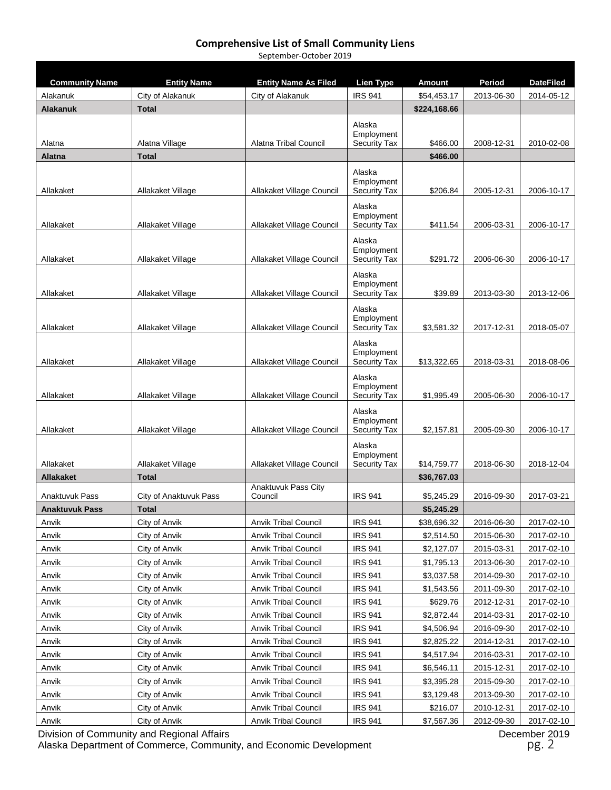September-October 2019

| <b>Community Name</b> | <b>Entity Name</b>     | <b>Entity Name As Filed</b>    | Lien Type                                   | <b>Amount</b> | Period     | <b>DateFiled</b> |
|-----------------------|------------------------|--------------------------------|---------------------------------------------|---------------|------------|------------------|
| Alakanuk              | City of Alakanuk       | City of Alakanuk               | <b>IRS 941</b>                              | \$54,453.17   | 2013-06-30 | 2014-05-12       |
| <b>Alakanuk</b>       | <b>Total</b>           |                                |                                             | \$224,168.66  |            |                  |
| Alatna                | Alatna Village         | Alatna Tribal Council          | Alaska<br>Employment<br><b>Security Tax</b> | \$466.00      | 2008-12-31 | 2010-02-08       |
| <b>Alatna</b>         | <b>Total</b>           |                                |                                             | \$466.00      |            |                  |
|                       |                        |                                |                                             |               |            |                  |
| Allakaket             | Allakaket Village      | Allakaket Village Council      | Alaska<br>Employment<br><b>Security Tax</b> | \$206.84      | 2005-12-31 | 2006-10-17       |
| Allakaket             | Allakaket Village      | Allakaket Village Council      | Alaska<br>Employment<br><b>Security Tax</b> | \$411.54      | 2006-03-31 | 2006-10-17       |
| Allakaket             | Allakaket Village      | Allakaket Village Council      | Alaska<br>Employment<br>Security Tax        | \$291.72      | 2006-06-30 | 2006-10-17       |
| Allakaket             | Allakaket Village      | Allakaket Village Council      | Alaska<br>Employment<br><b>Security Tax</b> | \$39.89       | 2013-03-30 | 2013-12-06       |
| Allakaket             | Allakaket Village      | Allakaket Village Council      | Alaska<br>Employment<br><b>Security Tax</b> | \$3,581.32    | 2017-12-31 | 2018-05-07       |
| Allakaket             | Allakaket Village      | Allakaket Village Council      | Alaska<br>Employment<br><b>Security Tax</b> | \$13,322.65   | 2018-03-31 | 2018-08-06       |
| Allakaket             | Allakaket Village      | Allakaket Village Council      | Alaska<br>Employment<br><b>Security Tax</b> | \$1,995.49    | 2005-06-30 | 2006-10-17       |
| Allakaket             | Allakaket Village      | Allakaket Village Council      | Alaska<br>Employment<br><b>Security Tax</b> | \$2,157.81    | 2005-09-30 | 2006-10-17       |
| Allakaket             | Allakaket Village      | Allakaket Village Council      | Alaska<br>Employment<br><b>Security Tax</b> | \$14,759.77   | 2018-06-30 | 2018-12-04       |
| <b>Allakaket</b>      | <b>Total</b>           |                                |                                             | \$36,767.03   |            |                  |
| Anaktuvuk Pass        | City of Anaktuvuk Pass | Anaktuvuk Pass City<br>Council | <b>IRS 941</b>                              | \$5,245.29    | 2016-09-30 | 2017-03-21       |
| <b>Anaktuvuk Pass</b> | <b>Total</b>           |                                |                                             | \$5,245.29    |            |                  |
| Anvik                 | City of Anvik          | <b>Anvik Tribal Council</b>    | <b>IRS 941</b>                              | \$38,696.32   | 2016-06-30 | 2017-02-10       |
| Anvik                 | City of Anvik          | <b>Anvik Tribal Council</b>    | <b>IRS 941</b>                              | \$2,514.50    | 2015-06-30 | 2017-02-10       |
| Anvik                 | City of Anvik          | <b>Anvik Tribal Council</b>    | <b>IRS 941</b>                              | \$2,127.07    | 2015-03-31 | 2017-02-10       |
| Anvik                 | City of Anvik          | Anvik Tribal Council           | IRS 941                                     | \$1,795.13    | 2013-06-30 | 2017-02-10       |
| Anvik                 | City of Anvik          | <b>Anvik Tribal Council</b>    | <b>IRS 941</b>                              | \$3,037.58    | 2014-09-30 | 2017-02-10       |
| Anvik                 | City of Anvik          | <b>Anvik Tribal Council</b>    | <b>IRS 941</b>                              | \$1,543.56    | 2011-09-30 | 2017-02-10       |
| Anvik                 | City of Anvik          | Anvik Tribal Council           | <b>IRS 941</b>                              | \$629.76      | 2012-12-31 | 2017-02-10       |
| Anvik                 | City of Anvik          | <b>Anvik Tribal Council</b>    | <b>IRS 941</b>                              | \$2,872.44    | 2014-03-31 | 2017-02-10       |
| Anvik                 | City of Anvik          | Anvik Tribal Council           | IRS 941                                     | \$4,506.94    | 2016-09-30 | 2017-02-10       |
| Anvik                 | City of Anvik          | <b>Anvik Tribal Council</b>    | <b>IRS 941</b>                              | \$2,825.22    | 2014-12-31 | 2017-02-10       |
| Anvik                 | City of Anvik          | <b>Anvik Tribal Council</b>    | <b>IRS 941</b>                              | \$4,517.94    | 2016-03-31 | 2017-02-10       |
| Anvik                 | City of Anvik          | Anvik Tribal Council           | <b>IRS 941</b>                              | \$6,546.11    | 2015-12-31 | 2017-02-10       |
| Anvik                 | City of Anvik          | Anvik Tribal Council           | <b>IRS 941</b>                              | \$3,395.28    | 2015-09-30 | 2017-02-10       |
| Anvik                 | City of Anvik          | <b>Anvik Tribal Council</b>    | IRS 941                                     | \$3,129.48    | 2013-09-30 | 2017-02-10       |
| Anvik                 | City of Anvik          | <b>Anvik Tribal Council</b>    | <b>IRS 941</b>                              | \$216.07      | 2010-12-31 | 2017-02-10       |
| Anvik                 | City of Anvik          | <b>Anvik Tribal Council</b>    | <b>IRS 941</b>                              | \$7,567.36    | 2012-09-30 | 2017-02-10       |

Division of Community and Regional Affairs December 2019 Alaska Department of Commerce, Community, and Economic Development **pg. 2** pg. 2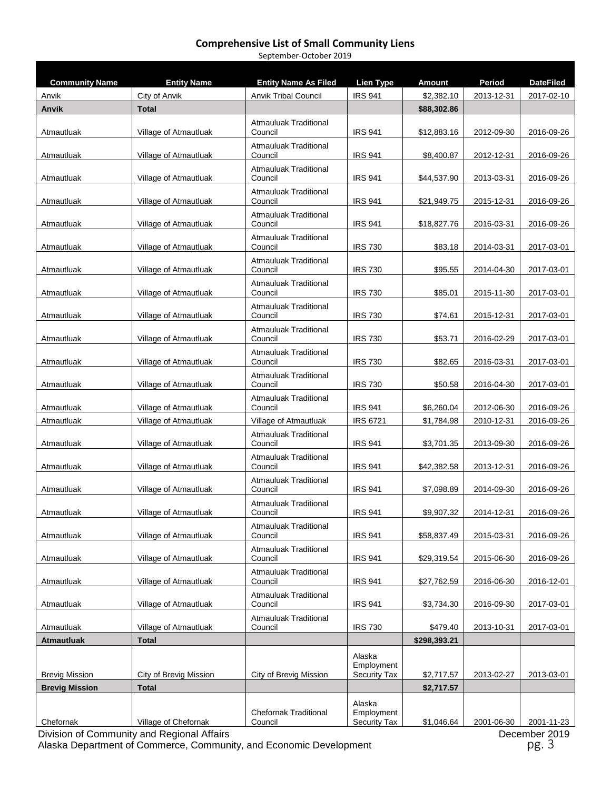#### **Comprehensive List of Small Community Liens** September-October 2019

| <b>Community Name</b>              | <b>Entity Name</b>                   | <b>Entity Name As Filed</b>             | Lien Type                                   | <b>Amount</b>            | <b>Period</b> | <b>DateFiled</b> |
|------------------------------------|--------------------------------------|-----------------------------------------|---------------------------------------------|--------------------------|---------------|------------------|
| Anvik                              | City of Anvik                        | <b>Anvik Tribal Council</b>             | <b>IRS 941</b>                              | \$2,382.10               | 2013-12-31    | 2017-02-10       |
| Anvik                              | <b>Total</b>                         |                                         |                                             | \$88,302.86              |               |                  |
| Atmautluak                         | Village of Atmautluak                | Atmauluak Traditional<br>Council        | <b>IRS 941</b>                              | \$12,883.16              | 2012-09-30    | 2016-09-26       |
| Atmautluak                         | Village of Atmautluak                | <b>Atmauluak Traditional</b><br>Council | <b>IRS 941</b>                              | \$8,400.87               | 2012-12-31    | 2016-09-26       |
| Atmautluak                         | Village of Atmautluak                | <b>Atmauluak Traditional</b><br>Council | <b>IRS 941</b>                              | \$44,537.90              | 2013-03-31    | 2016-09-26       |
| Atmautluak                         | Village of Atmautluak                | <b>Atmauluak Traditional</b><br>Council | <b>IRS 941</b>                              | \$21,949.75              | 2015-12-31    | 2016-09-26       |
| Atmautluak                         | Village of Atmautluak                | <b>Atmauluak Traditional</b><br>Council | <b>IRS 941</b>                              | \$18,827.76              | 2016-03-31    | 2016-09-26       |
| Atmautluak                         | Village of Atmautluak                | <b>Atmauluak Traditional</b><br>Council | <b>IRS 730</b>                              | \$83.18                  | 2014-03-31    | 2017-03-01       |
| Atmautluak                         | Village of Atmautluak                | <b>Atmauluak Traditional</b><br>Council | <b>IRS 730</b>                              | \$95.55                  | 2014-04-30    | 2017-03-01       |
| Atmautluak                         | Village of Atmautluak                | <b>Atmauluak Traditional</b><br>Council | <b>IRS 730</b>                              | \$85.01                  | 2015-11-30    | 2017-03-01       |
| Atmautluak                         | Village of Atmautluak                | <b>Atmauluak Traditional</b><br>Council | <b>IRS 730</b>                              | \$74.61                  | 2015-12-31    | 2017-03-01       |
| Atmautluak                         | Village of Atmautluak                | <b>Atmauluak Traditional</b><br>Council | <b>IRS 730</b>                              | \$53.71                  | 2016-02-29    | 2017-03-01       |
| Atmautluak                         | Village of Atmautluak                | <b>Atmauluak Traditional</b><br>Council | <b>IRS 730</b>                              | \$82.65                  | 2016-03-31    | 2017-03-01       |
| Atmautluak                         | Village of Atmautluak                | <b>Atmauluak Traditional</b><br>Council | <b>IRS 730</b>                              | \$50.58                  | 2016-04-30    | 2017-03-01       |
| Atmautluak                         | Village of Atmautluak                | <b>Atmauluak Traditional</b><br>Council | <b>IRS 941</b>                              | \$6,260.04               | 2012-06-30    | 2016-09-26       |
| Atmautluak                         | Village of Atmautluak                | Village of Atmautluak                   | <b>IRS 6721</b>                             | \$1,784.98               | 2010-12-31    | 2016-09-26       |
| Atmautluak                         | Village of Atmautluak                | <b>Atmauluak Traditional</b><br>Council | <b>IRS 941</b>                              | \$3,701.35               | 2013-09-30    | 2016-09-26       |
| Atmautluak                         | Village of Atmautluak                | Atmauluak Traditional<br>Council        | <b>IRS 941</b>                              | \$42,382.58              | 2013-12-31    | 2016-09-26       |
| Atmautluak                         | Village of Atmautluak                | Atmauluak Traditional<br>Council        | <b>IRS 941</b>                              | \$7,098.89               | 2014-09-30    | 2016-09-26       |
| Atmautluak                         | Village of Atmautluak                | <b>Atmauluak Traditional</b><br>Council | <b>IRS 941</b>                              | \$9,907.32               | 2014-12-31    | 2016-09-26       |
| Atmautluak                         | Village of Atmautluak                | <b>Atmauluak Traditional</b><br>Council | <b>IRS 941</b>                              | \$58,837.49              | 2015-03-31    | 2016-09-26       |
| Atmautluak                         | Village of Atmautluak                | Atmauluak Traditional<br>Council        | <b>IRS 941</b>                              | \$29,319.54              | 2015-06-30    | 2016-09-26       |
| Atmautluak                         | Village of Atmautluak                | <b>Atmauluak Traditional</b><br>Council | <b>IRS 941</b>                              | \$27,762.59              | 2016-06-30    | 2016-12-01       |
| Atmautluak                         | Village of Atmautluak                | Atmauluak Traditional<br>Council        | <b>IRS 941</b>                              | \$3,734.30               | 2016-09-30    | 2017-03-01       |
| Atmautluak                         | Village of Atmautluak                | Atmauluak Traditional<br>Council        | <b>IRS 730</b>                              | \$479.40                 | 2013-10-31    | 2017-03-01       |
| <b>Atmautluak</b>                  | <b>Total</b>                         |                                         |                                             | \$298,393.21             |               |                  |
|                                    |                                      |                                         | Alaska<br>Employment                        |                          |               |                  |
| <b>Brevig Mission</b>              | City of Brevig Mission               | City of Brevig Mission                  | <b>Security Tax</b>                         | \$2,717.57               | 2013-02-27    | 2013-03-01       |
| <b>Brevig Mission</b><br>Chefornak | <b>Total</b><br>Village of Chefornak | <b>Chefornak Traditional</b><br>Council | Alaska<br>Employment<br><b>Security Tax</b> | \$2,717.57<br>\$1,046.64 | 2001-06-30    | 2001-11-23       |

Division of Community and Regional Affairs December 2019

Alaska Department of Commerce, Community, and Economic Development **pg. 3** pg. 3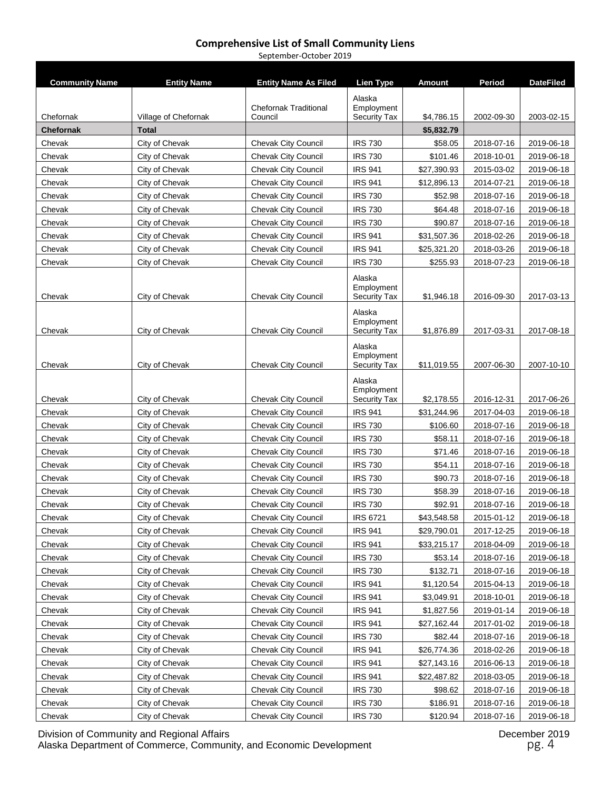September-October 2019

| <b>Community Name</b> | <b>Entity Name</b>   | <b>Entity Name As Filed</b>             | Lien Type                         | <b>Amount</b> | Period     | <b>DateFiled</b> |
|-----------------------|----------------------|-----------------------------------------|-----------------------------------|---------------|------------|------------------|
|                       |                      |                                         | Alaska                            |               |            |                  |
| Chefornak             | Village of Chefornak | <b>Chefornak Traditional</b><br>Council | Employment<br><b>Security Tax</b> | \$4,786.15    | 2002-09-30 | 2003-02-15       |
| <b>Chefornak</b>      | <b>Total</b>         |                                         |                                   | \$5,832.79    |            |                  |
| Chevak                | City of Chevak       | <b>Chevak City Council</b>              | <b>IRS 730</b>                    | \$58.05       | 2018-07-16 | 2019-06-18       |
| Chevak                | City of Chevak       | <b>Chevak City Council</b>              | <b>IRS 730</b>                    | \$101.46      | 2018-10-01 | 2019-06-18       |
| Chevak                | City of Chevak       | <b>Chevak City Council</b>              | <b>IRS 941</b>                    | \$27,390.93   | 2015-03-02 | 2019-06-18       |
| Chevak                | City of Chevak       | <b>Chevak City Council</b>              | <b>IRS 941</b>                    | \$12,896.13   | 2014-07-21 | 2019-06-18       |
| Chevak                | City of Chevak       | <b>Chevak City Council</b>              | <b>IRS 730</b>                    | \$52.98       | 2018-07-16 | 2019-06-18       |
| Chevak                | City of Chevak       | <b>Chevak City Council</b>              | <b>IRS 730</b>                    | \$64.48       | 2018-07-16 | 2019-06-18       |
| Chevak                | City of Chevak       | <b>Chevak City Council</b>              | <b>IRS 730</b>                    | \$90.87       | 2018-07-16 | 2019-06-18       |
| Chevak                | City of Chevak       | <b>Chevak City Council</b>              | <b>IRS 941</b>                    | \$31,507.36   | 2018-02-26 | 2019-06-18       |
| Chevak                | City of Chevak       | <b>Chevak City Council</b>              | <b>IRS 941</b>                    | \$25,321.20   | 2018-03-26 | 2019-06-18       |
| Chevak                | City of Chevak       | <b>Chevak City Council</b>              | <b>IRS 730</b>                    | \$255.93      | 2018-07-23 | 2019-06-18       |
|                       |                      |                                         | Alaska                            |               |            |                  |
|                       |                      |                                         | Employment                        |               |            |                  |
| Chevak                | City of Chevak       | <b>Chevak City Council</b>              | <b>Security Tax</b>               | \$1,946.18    | 2016-09-30 | 2017-03-13       |
|                       |                      |                                         | Alaska                            |               |            |                  |
|                       |                      |                                         | Employment                        |               |            |                  |
| Chevak                | City of Chevak       | <b>Chevak City Council</b>              | <b>Security Tax</b>               | \$1,876.89    | 2017-03-31 | 2017-08-18       |
|                       |                      |                                         | Alaska<br>Employment              |               |            |                  |
| Chevak                | City of Chevak       | <b>Chevak City Council</b>              | <b>Security Tax</b>               | \$11,019.55   | 2007-06-30 | 2007-10-10       |
|                       |                      |                                         | Alaska                            |               |            |                  |
|                       |                      |                                         | Employment                        |               |            |                  |
| Chevak                | City of Chevak       | <b>Chevak City Council</b>              | <b>Security Tax</b>               | \$2,178.55    | 2016-12-31 | 2017-06-26       |
| Chevak                | City of Chevak       | <b>Chevak City Council</b>              | <b>IRS 941</b>                    | \$31,244.96   | 2017-04-03 | 2019-06-18       |
| Chevak                | City of Chevak       | <b>Chevak City Council</b>              | <b>IRS 730</b>                    | \$106.60      | 2018-07-16 | 2019-06-18       |
| Chevak                | City of Chevak       | <b>Chevak City Council</b>              | <b>IRS 730</b>                    | \$58.11       | 2018-07-16 | 2019-06-18       |
| Chevak                | City of Chevak       | <b>Chevak City Council</b>              | <b>IRS 730</b>                    | \$71.46       | 2018-07-16 | 2019-06-18       |
| Chevak                | City of Chevak       | <b>Chevak City Council</b>              | <b>IRS 730</b>                    | \$54.11       | 2018-07-16 | 2019-06-18       |
| Chevak                | City of Chevak       | <b>Chevak City Council</b>              | <b>IRS 730</b>                    | \$90.73       | 2018-07-16 | 2019-06-18       |
| Chevak                | City of Chevak       | <b>Chevak City Council</b>              | <b>IRS 730</b>                    | \$58.39       | 2018-07-16 | 2019-06-18       |
| Chevak                | City of Chevak       | <b>Chevak City Council</b>              | <b>IRS 730</b>                    | \$92.91       | 2018-07-16 | 2019-06-18       |
| Chevak                | City of Chevak       | Chevak City Council                     | <b>IRS 6721</b>                   | \$43,548.58   | 2015-01-12 | 2019-06-18       |
| Chevak                | City of Chevak       | <b>Chevak City Council</b>              | IRS 941                           | \$29,790.01   | 2017-12-25 | 2019-06-18       |
| Chevak                | City of Chevak       | Chevak City Council                     | <b>IRS 941</b>                    | \$33,215.17   | 2018-04-09 | 2019-06-18       |
| Chevak                | City of Chevak       | <b>Chevak City Council</b>              | <b>IRS 730</b>                    | \$53.14       | 2018-07-16 | 2019-06-18       |
| Chevak                | City of Chevak       | <b>Chevak City Council</b>              | <b>IRS 730</b>                    | \$132.71      | 2018-07-16 | 2019-06-18       |
| Chevak                | City of Chevak       | <b>Chevak City Council</b>              | <b>IRS 941</b>                    | \$1,120.54    | 2015-04-13 | 2019-06-18       |
| Chevak                | City of Chevak       | Chevak City Council                     | <b>IRS 941</b>                    | \$3,049.91    | 2018-10-01 | 2019-06-18       |
| Chevak                | City of Chevak       | <b>Chevak City Council</b>              | <b>IRS 941</b>                    | \$1,827.56    | 2019-01-14 | 2019-06-18       |
| Chevak                | City of Chevak       | Chevak City Council                     | <b>IRS 941</b>                    | \$27,162.44   | 2017-01-02 | 2019-06-18       |
| Chevak                | City of Chevak       | <b>Chevak City Council</b>              | <b>IRS 730</b>                    | \$82.44       | 2018-07-16 | 2019-06-18       |
| Chevak                | City of Chevak       | <b>Chevak City Council</b>              | <b>IRS 941</b>                    | \$26,774.36   | 2018-02-26 | 2019-06-18       |
| Chevak                | City of Chevak       | <b>Chevak City Council</b>              | <b>IRS 941</b>                    | \$27,143.16   | 2016-06-13 | 2019-06-18       |
| Chevak                | City of Chevak       | <b>Chevak City Council</b>              | <b>IRS 941</b>                    | \$22,487.82   | 2018-03-05 | 2019-06-18       |
| Chevak                | City of Chevak       | <b>Chevak City Council</b>              | <b>IRS 730</b>                    | \$98.62       | 2018-07-16 | 2019-06-18       |
| Chevak                | City of Chevak       | <b>Chevak City Council</b>              | <b>IRS 730</b>                    | \$186.91      | 2018-07-16 | 2019-06-18       |
| Chevak                | City of Chevak       | <b>Chevak City Council</b>              | <b>IRS 730</b>                    | \$120.94      | 2018-07-16 | 2019-06-18       |

Division of Community and Regional Affairs December 2019 Alaska Department of Commerce, Community, and Economic Development **pg. 4** pg. 4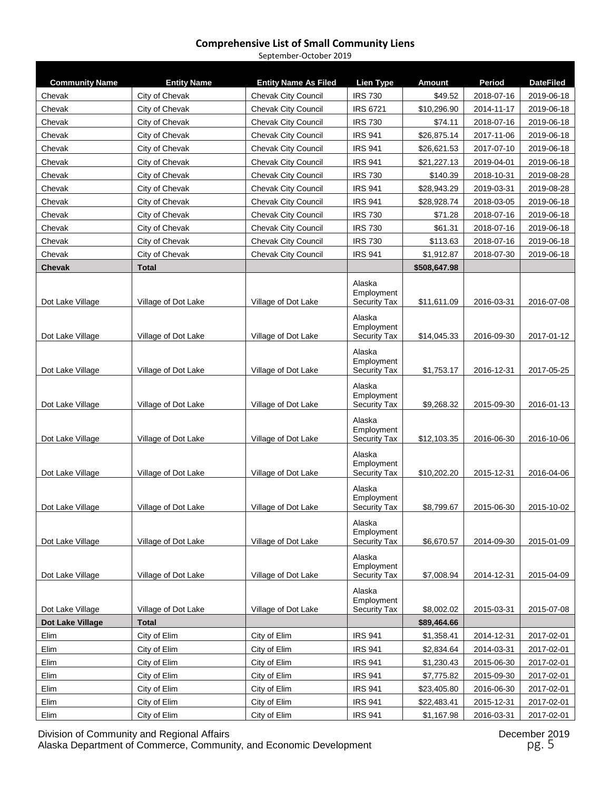September-October 2019

| <b>Community Name</b> | <b>Entity Name</b>  | <b>Entity Name As Filed</b> | Lien Type                                   | Amount       | Period     | <b>DateFiled</b> |
|-----------------------|---------------------|-----------------------------|---------------------------------------------|--------------|------------|------------------|
| Chevak                | City of Chevak      | <b>Chevak City Council</b>  | <b>IRS 730</b>                              | \$49.52      | 2018-07-16 | 2019-06-18       |
| Chevak                | City of Chevak      | <b>Chevak City Council</b>  | <b>IRS 6721</b>                             | \$10,296.90  | 2014-11-17 | 2019-06-18       |
| Chevak                | City of Chevak      | <b>Chevak City Council</b>  | <b>IRS 730</b>                              | \$74.11      | 2018-07-16 | 2019-06-18       |
| Chevak                | City of Chevak      | <b>Chevak City Council</b>  | <b>IRS 941</b>                              | \$26,875.14  | 2017-11-06 | 2019-06-18       |
| Chevak                | City of Chevak      | <b>Chevak City Council</b>  | <b>IRS 941</b>                              | \$26,621.53  | 2017-07-10 | 2019-06-18       |
| Chevak                | City of Chevak      | <b>Chevak City Council</b>  | <b>IRS 941</b>                              | \$21,227.13  | 2019-04-01 | 2019-06-18       |
| Chevak                | City of Chevak      | <b>Chevak City Council</b>  | <b>IRS 730</b>                              | \$140.39     | 2018-10-31 | 2019-08-28       |
| Chevak                | City of Chevak      | <b>Chevak City Council</b>  | <b>IRS 941</b>                              | \$28,943.29  | 2019-03-31 | 2019-08-28       |
| Chevak                | City of Chevak      | <b>Chevak City Council</b>  | <b>IRS 941</b>                              | \$28,928.74  | 2018-03-05 | 2019-06-18       |
| Chevak                | City of Chevak      | <b>Chevak City Council</b>  | <b>IRS 730</b>                              | \$71.28      | 2018-07-16 | 2019-06-18       |
| Chevak                | City of Chevak      | <b>Chevak City Council</b>  | <b>IRS 730</b>                              | \$61.31      | 2018-07-16 | 2019-06-18       |
| Chevak                | City of Chevak      | <b>Chevak City Council</b>  | <b>IRS 730</b>                              | \$113.63     | 2018-07-16 | 2019-06-18       |
| Chevak                | City of Chevak      | <b>Chevak City Council</b>  | <b>IRS 941</b>                              | \$1,912.87   | 2018-07-30 | 2019-06-18       |
| <b>Chevak</b>         | <b>Total</b>        |                             |                                             | \$508,647.98 |            |                  |
| Dot Lake Village      | Village of Dot Lake | Village of Dot Lake         | Alaska<br>Employment<br><b>Security Tax</b> | \$11,611.09  | 2016-03-31 | 2016-07-08       |
| Dot Lake Village      | Village of Dot Lake | Village of Dot Lake         | Alaska<br>Employment<br><b>Security Tax</b> | \$14,045.33  | 2016-09-30 | 2017-01-12       |
| Dot Lake Village      | Village of Dot Lake | Village of Dot Lake         | Alaska<br>Employment<br><b>Security Tax</b> | \$1,753.17   | 2016-12-31 | 2017-05-25       |
| Dot Lake Village      | Village of Dot Lake | Village of Dot Lake         | Alaska<br>Employment<br><b>Security Tax</b> | \$9,268.32   | 2015-09-30 | 2016-01-13       |
| Dot Lake Village      | Village of Dot Lake | Village of Dot Lake         | Alaska<br>Employment<br><b>Security Tax</b> | \$12,103.35  | 2016-06-30 | 2016-10-06       |
| Dot Lake Village      | Village of Dot Lake | Village of Dot Lake         | Alaska<br>Employment<br>Security Tax        | \$10,202.20  | 2015-12-31 | 2016-04-06       |
| Dot Lake Village      | Village of Dot Lake | Village of Dot Lake         | Alaska<br>Employment<br><b>Security Tax</b> | \$8,799.67   | 2015-06-30 | 2015-10-02       |
| Dot Lake Village      | Village of Dot Lake | Village of Dot Lake         | Alaska<br>Employment<br><b>Security Tax</b> | \$6,670.57   | 2014-09-30 | 2015-01-09       |
| Dot Lake Village      | Village of Dot Lake | Village of Dot Lake         | Alaska<br>Employment<br>Security Tax        | \$7,008.94   | 2014-12-31 | 2015-04-09       |
| Dot Lake Village      | Village of Dot Lake | Village of Dot Lake         | Alaska<br>Employment<br><b>Security Tax</b> | \$8,002.02   | 2015-03-31 | 2015-07-08       |
| Dot Lake Village      | <b>Total</b>        |                             |                                             | \$89,464.66  |            |                  |
| Elim                  | City of Elim        | City of Elim                | <b>IRS 941</b>                              | \$1,358.41   | 2014-12-31 | 2017-02-01       |
| Elim                  | City of Elim        | City of Elim                | <b>IRS 941</b>                              | \$2,834.64   | 2014-03-31 | 2017-02-01       |
| Elim                  | City of Elim        | City of Elim                | <b>IRS 941</b>                              | \$1,230.43   | 2015-06-30 | 2017-02-01       |
| Elim                  | City of Elim        | City of Elim                | <b>IRS 941</b>                              | \$7,775.82   | 2015-09-30 | 2017-02-01       |
| Elim                  | City of Elim        | City of Elim                | <b>IRS 941</b>                              | \$23,405.80  | 2016-06-30 | 2017-02-01       |
| Elim                  | City of Elim        | City of Elim                | <b>IRS 941</b>                              | \$22,483.41  | 2015-12-31 | 2017-02-01       |
| Elim                  | City of Elim        | City of Elim                | <b>IRS 941</b>                              | \$1,167.98   | 2016-03-31 | 2017-02-01       |

Division of Community and Regional Affairs December 2019 Alaska Department of Commerce, Community, and Economic Development **part of the Contract of Commerce**, Community, and Economic Development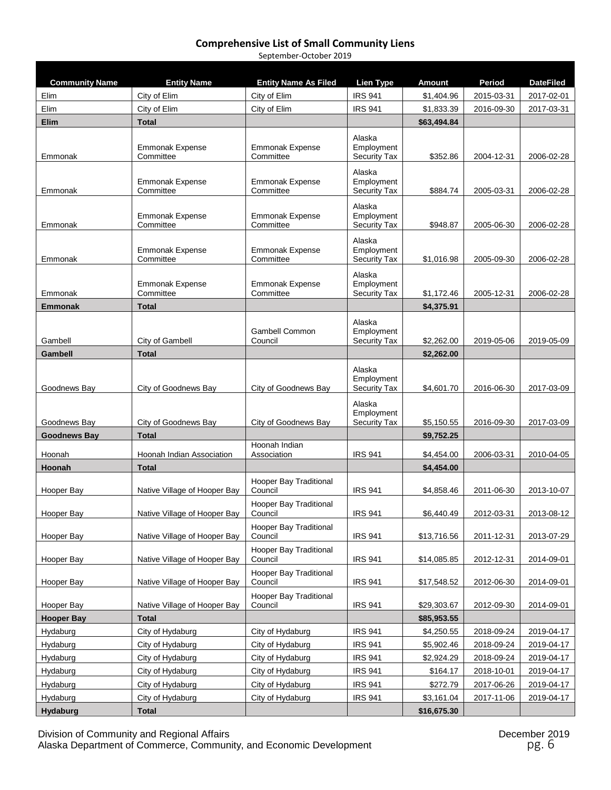#### **Comprehensive List of Small Community Liens** September-October 2019

| <b>Community Name</b> | <b>Entity Name</b>                  | <b>Entity Name As Filed</b>              | <b>Lien Type</b>                            | Amount      | Period     | <b>DateFiled</b> |
|-----------------------|-------------------------------------|------------------------------------------|---------------------------------------------|-------------|------------|------------------|
| Elim                  | City of Elim                        | City of Elim                             | <b>IRS 941</b>                              | \$1,404.96  | 2015-03-31 | 2017-02-01       |
| Elim                  | City of Elim                        | City of Elim                             | <b>IRS 941</b>                              | \$1,833.39  | 2016-09-30 | 2017-03-31       |
| Elim                  | <b>Total</b>                        |                                          |                                             | \$63,494.84 |            |                  |
| Emmonak               | Emmonak Expense<br>Committee        | Emmonak Expense<br>Committee             | Alaska<br>Employment<br><b>Security Tax</b> | \$352.86    | 2004-12-31 | 2006-02-28       |
| Emmonak               | <b>Emmonak Expense</b><br>Committee | <b>Emmonak Expense</b><br>Committee      | Alaska<br>Employment<br><b>Security Tax</b> | \$884.74    | 2005-03-31 | 2006-02-28       |
| Emmonak               | <b>Emmonak Expense</b><br>Committee | <b>Emmonak Expense</b><br>Committee      | Alaska<br>Employment<br><b>Security Tax</b> | \$948.87    | 2005-06-30 | 2006-02-28       |
| Emmonak               | <b>Emmonak Expense</b><br>Committee | <b>Emmonak Expense</b><br>Committee      | Alaska<br>Employment<br><b>Security Tax</b> | \$1,016.98  | 2005-09-30 | 2006-02-28       |
| Emmonak               | <b>Emmonak Expense</b><br>Committee | <b>Emmonak Expense</b><br>Committee      | Alaska<br>Employment<br><b>Security Tax</b> | \$1,172.46  | 2005-12-31 | 2006-02-28       |
| <b>Emmonak</b>        | <b>Total</b>                        |                                          |                                             | \$4,375.91  |            |                  |
| Gambell               | City of Gambell                     | Gambell Common<br>Council                | Alaska<br>Employment<br><b>Security Tax</b> | \$2,262.00  | 2019-05-06 | 2019-05-09       |
| Gambell               | <b>Total</b>                        |                                          |                                             | \$2,262.00  |            |                  |
| Goodnews Bay          | City of Goodnews Bay                | City of Goodnews Bay                     | Alaska<br>Employment<br><b>Security Tax</b> | \$4,601.70  | 2016-06-30 | 2017-03-09       |
| Goodnews Bay          | City of Goodnews Bay                | City of Goodnews Bay                     | Alaska<br>Employment<br><b>Security Tax</b> | \$5,150.55  | 2016-09-30 | 2017-03-09       |
| <b>Goodnews Bay</b>   | <b>Total</b>                        |                                          |                                             | \$9,752.25  |            |                  |
| Hoonah                | Hoonah Indian Association           | Hoonah Indian<br>Association             | <b>IRS 941</b>                              | \$4,454.00  | 2006-03-31 | 2010-04-05       |
| Hoonah                | <b>Total</b>                        |                                          |                                             | \$4,454.00  |            |                  |
| Hooper Bay            | Native Village of Hooper Bay        | Hooper Bay Traditional<br>Council        | <b>IRS 941</b>                              | \$4,858.46  | 2011-06-30 | 2013-10-07       |
| Hooper Bay            | Native Village of Hooper Bay        | Hooper Bay Traditional<br>Council        | <b>IRS 941</b>                              | \$6,440.49  | 2012-03-31 | 2013-08-12       |
| Hooper Bay            | Native Village of Hooper Bay        | <b>Hooper Bay Traditional</b><br>Council | <b>IRS 941</b>                              | \$13,716.56 | 2011-12-31 | 2013-07-29       |
| Hooper Bay            | Native Village of Hooper Bay        | Hooper Bay Traditional<br>Council        | <b>IRS 941</b>                              | \$14,085.85 | 2012-12-31 | 2014-09-01       |
| Hooper Bay            | Native Village of Hooper Bay        | Hooper Bay Traditional<br>Council        | <b>IRS 941</b>                              | \$17,548.52 | 2012-06-30 | 2014-09-01       |
| Hooper Bay            | Native Village of Hooper Bay        | Hooper Bay Traditional<br>Council        | <b>IRS 941</b>                              | \$29,303.67 | 2012-09-30 | 2014-09-01       |
| <b>Hooper Bay</b>     | <b>Total</b>                        |                                          |                                             | \$85,953.55 |            |                  |
| Hydaburg              | City of Hydaburg                    | City of Hydaburg                         | <b>IRS 941</b>                              | \$4,250.55  | 2018-09-24 | 2019-04-17       |
| Hydaburg              | City of Hydaburg                    | City of Hydaburg                         | <b>IRS 941</b>                              | \$5,902.46  | 2018-09-24 | 2019-04-17       |
| Hydaburg              | City of Hydaburg                    | City of Hydaburg                         | <b>IRS 941</b>                              | \$2,924.29  | 2018-09-24 | 2019-04-17       |
| Hydaburg              | City of Hydaburg                    | City of Hydaburg                         | <b>IRS 941</b>                              | \$164.17    | 2018-10-01 | 2019-04-17       |
| Hydaburg              | City of Hydaburg                    | City of Hydaburg                         | <b>IRS 941</b>                              | \$272.79    | 2017-06-26 | 2019-04-17       |
| Hydaburg              | City of Hydaburg                    | City of Hydaburg                         | <b>IRS 941</b>                              | \$3,161.04  | 2017-11-06 | 2019-04-17       |
| Hydaburg              | <b>Total</b>                        |                                          |                                             | \$16,675.30 |            |                  |

Division of Community and Regional Affairs December 2019 Alaska Department of Commerce, Community, and Economic Development **part of the entity of the entity of the entity** pg. 6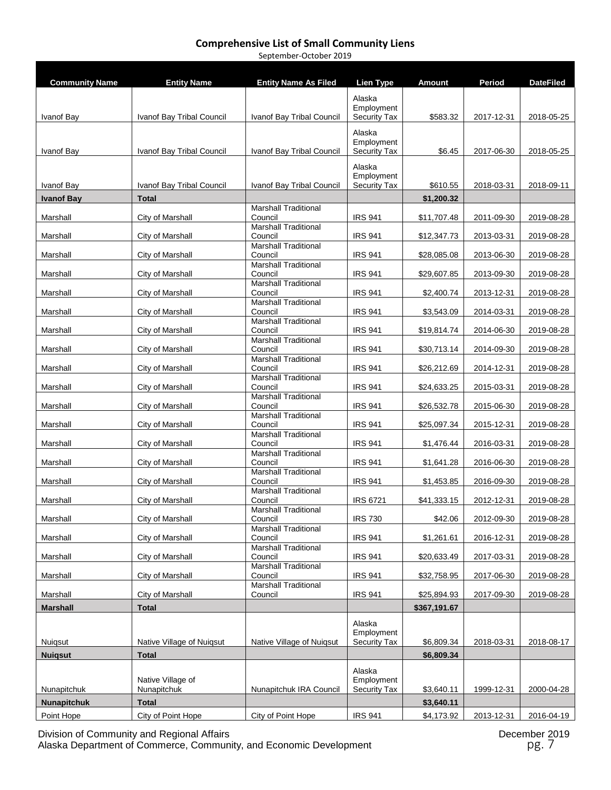September-October 2019

| <b>Community Name</b> | <b>Entity Name</b>               | <b>Entity Name As Filed</b>            | <b>Lien Type</b>                  | <b>Amount</b> | Period     | <b>DateFiled</b> |
|-----------------------|----------------------------------|----------------------------------------|-----------------------------------|---------------|------------|------------------|
|                       |                                  |                                        | Alaska                            |               |            |                  |
|                       |                                  |                                        | Employment                        |               |            |                  |
| Ivanof Bay            | Ivanof Bay Tribal Council        | Ivanof Bay Tribal Council              | Security Tax                      | \$583.32      | 2017-12-31 | 2018-05-25       |
|                       |                                  |                                        | Alaska<br>Employment              |               |            |                  |
| Ivanof Bay            | Ivanof Bay Tribal Council        | Ivanof Bay Tribal Council              | Security Tax                      | \$6.45        | 2017-06-30 | 2018-05-25       |
|                       |                                  |                                        | Alaska                            |               |            |                  |
| Ivanof Bay            | Ivanof Bay Tribal Council        | Ivanof Bay Tribal Council              | Employment<br><b>Security Tax</b> | \$610.55      | 2018-03-31 | 2018-09-11       |
| <b>Ivanof Bay</b>     | <b>Total</b>                     |                                        |                                   | \$1,200.32    |            |                  |
| Marshall              | City of Marshall                 | <b>Marshall Traditional</b><br>Council | <b>IRS 941</b>                    | \$11,707.48   | 2011-09-30 | 2019-08-28       |
|                       |                                  | <b>Marshall Traditional</b>            |                                   |               |            |                  |
| Marshall              | City of Marshall                 | Council<br><b>Marshall Traditional</b> | <b>IRS 941</b>                    | \$12,347.73   | 2013-03-31 | 2019-08-28       |
| Marshall              | City of Marshall                 | Council                                | <b>IRS 941</b>                    | \$28,085.08   | 2013-06-30 | 2019-08-28       |
| Marshall              | City of Marshall                 | <b>Marshall Traditional</b><br>Council | <b>IRS 941</b>                    | \$29,607.85   | 2013-09-30 | 2019-08-28       |
|                       |                                  | <b>Marshall Traditional</b>            |                                   |               |            |                  |
| Marshall              | City of Marshall                 | Council<br><b>Marshall Traditional</b> | <b>IRS 941</b>                    | \$2,400.74    | 2013-12-31 | 2019-08-28       |
| Marshall              | City of Marshall                 | Council<br><b>Marshall Traditional</b> | <b>IRS 941</b>                    | \$3,543.09    | 2014-03-31 | 2019-08-28       |
| Marshall              | City of Marshall                 | Council                                | <b>IRS 941</b>                    | \$19,814.74   | 2014-06-30 | 2019-08-28       |
| Marshall              | City of Marshall                 | <b>Marshall Traditional</b><br>Council | <b>IRS 941</b>                    | \$30,713.14   | 2014-09-30 | 2019-08-28       |
|                       |                                  | <b>Marshall Traditional</b>            |                                   |               |            |                  |
| Marshall              | City of Marshall                 | Council<br><b>Marshall Traditional</b> | <b>IRS 941</b>                    | \$26,212.69   | 2014-12-31 | 2019-08-28       |
| Marshall              | City of Marshall                 | Council                                | <b>IRS 941</b>                    | \$24,633.25   | 2015-03-31 | 2019-08-28       |
| Marshall              | City of Marshall                 | <b>Marshall Traditional</b><br>Council | <b>IRS 941</b>                    | \$26,532.78   | 2015-06-30 | 2019-08-28       |
| Marshall              | City of Marshall                 | <b>Marshall Traditional</b><br>Council | <b>IRS 941</b>                    | \$25,097.34   | 2015-12-31 | 2019-08-28       |
|                       |                                  | <b>Marshall Traditional</b>            |                                   |               |            |                  |
| Marshall              | City of Marshall                 | Council<br><b>Marshall Traditional</b> | <b>IRS 941</b>                    | \$1,476.44    | 2016-03-31 | 2019-08-28       |
| Marshall              | City of Marshall                 | Council                                | <b>IRS 941</b>                    | \$1,641.28    | 2016-06-30 | 2019-08-28       |
| Marshall              | City of Marshall                 | <b>Marshall Traditional</b><br>Council | <b>IRS 941</b>                    | \$1,453.85    | 2016-09-30 | 2019-08-28       |
|                       | City of Marshall                 | <b>Marshall Traditional</b>            |                                   |               |            |                  |
| Marshall              |                                  | Council<br><b>Marshall Traditional</b> | <b>IRS 6721</b>                   | \$41,333.15   | 2012-12-31 | 2019-08-28       |
| Marshall              | City of Marshall                 | Council<br><b>Marshall Traditional</b> | <b>IRS 730</b>                    | \$42.06       | 2012-09-30 | 2019-08-28       |
| Marshall              | City of Marshall                 | Council                                | <b>IRS 941</b>                    | \$1,261.61    | 2016-12-31 | 2019-08-28       |
| Marshall              | City of Marshall                 | <b>Marshall Traditional</b><br>Council | <b>IRS 941</b>                    | \$20,633.49   | 2017-03-31 | 2019-08-28       |
|                       |                                  | <b>Marshall Traditional</b>            |                                   |               |            |                  |
| Marshall              | City of Marshall                 | Council<br><b>Marshall Traditional</b> | <b>IRS 941</b>                    | \$32,758.95   | 2017-06-30 | 2019-08-28       |
| Marshall              | City of Marshall                 | Council                                | <b>IRS 941</b>                    | \$25,894.93   | 2017-09-30 | 2019-08-28       |
| <b>Marshall</b>       | <b>Total</b>                     |                                        |                                   | \$367,191.67  |            |                  |
|                       |                                  |                                        | Alaska<br>Employment              |               |            |                  |
| Nuigsut               | Native Village of Nuiqsut        | Native Village of Nuigsut              | Security Tax                      | \$6,809.34    | 2018-03-31 | 2018-08-17       |
| <b>Nuigsut</b>        | <b>Total</b>                     |                                        |                                   | \$6,809.34    |            |                  |
|                       |                                  |                                        | Alaska                            |               |            |                  |
| Nunapitchuk           | Native Village of<br>Nunapitchuk | Nunapitchuk IRA Council                | Employment<br><b>Security Tax</b> | \$3,640.11    | 1999-12-31 | 2000-04-28       |
| <b>Nunapitchuk</b>    | <b>Total</b>                     |                                        |                                   | \$3,640.11    |            |                  |
| Point Hope            | City of Point Hope               | City of Point Hope                     | <b>IRS 941</b>                    | \$4,173.92    | 2013-12-31 | 2016-04-19       |

Division of Community and Regional Affairs December 2019 Alaska Department of Commerce, Community, and Economic Development **pg. 7** pg. 7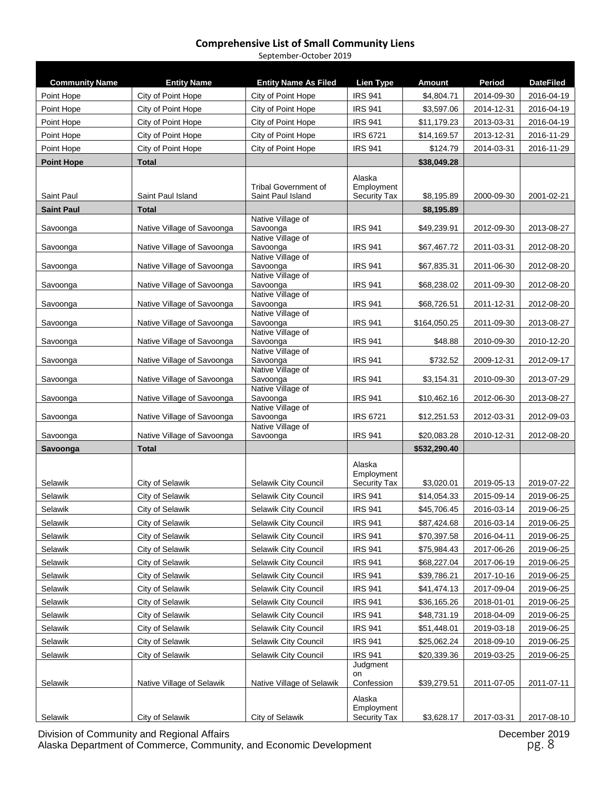September-October 2019

| <b>Community Name</b> | <b>Entity Name</b>         | <b>Entity Name As Filed</b>   | <b>Lien Type</b>           | <b>Amount</b> | Period     | <b>DateFiled</b> |
|-----------------------|----------------------------|-------------------------------|----------------------------|---------------|------------|------------------|
| Point Hope            | City of Point Hope         | City of Point Hope            | <b>IRS 941</b>             | \$4,804.71    | 2014-09-30 | 2016-04-19       |
| Point Hope            | City of Point Hope         | City of Point Hope            | <b>IRS 941</b>             | \$3,597.06    | 2014-12-31 | 2016-04-19       |
| Point Hope            | City of Point Hope         | City of Point Hope            | <b>IRS 941</b>             | \$11,179.23   | 2013-03-31 | 2016-04-19       |
| Point Hope            | City of Point Hope         | City of Point Hope            | <b>IRS 6721</b>            | \$14,169.57   | 2013-12-31 | 2016-11-29       |
| Point Hope            | City of Point Hope         | City of Point Hope            | <b>IRS 941</b>             | \$124.79      | 2014-03-31 | 2016-11-29       |
| <b>Point Hope</b>     | <b>Total</b>               |                               |                            | \$38,049.28   |            |                  |
|                       |                            |                               | Alaska                     |               |            |                  |
|                       |                            | <b>Tribal Government of</b>   | Employment                 |               |            |                  |
| Saint Paul            | Saint Paul Island          | Saint Paul Island             | <b>Security Tax</b>        | \$8,195.89    | 2000-09-30 | 2001-02-21       |
| <b>Saint Paul</b>     | <b>Total</b>               | Native Village of             |                            | \$8,195.89    |            |                  |
| Savoonga              | Native Village of Savoonga | Savoonga                      | <b>IRS 941</b>             | \$49,239.91   | 2012-09-30 | 2013-08-27       |
|                       |                            | Native Village of<br>Savoonga | <b>IRS 941</b>             | \$67,467.72   | 2011-03-31 | 2012-08-20       |
| Savoonga              | Native Village of Savoonga | Native Village of             |                            |               |            |                  |
| Savoonga              | Native Village of Savoonga | Savoonga                      | <b>IRS 941</b>             | \$67,835.31   | 2011-06-30 | 2012-08-20       |
| Savoonga              | Native Village of Savoonga | Native Village of<br>Savoonga | <b>IRS 941</b>             | \$68,238.02   | 2011-09-30 | 2012-08-20       |
|                       |                            | Native Village of             |                            |               |            |                  |
| Savoonga              | Native Village of Savoonga | Savoonga<br>Native Village of | <b>IRS 941</b>             | \$68,726.51   | 2011-12-31 | 2012-08-20       |
| Savoonga              | Native Village of Savoonga | Savoonga                      | <b>IRS 941</b>             | \$164,050.25  | 2011-09-30 | 2013-08-27       |
| Savoonga              | Native Village of Savoonga | Native Village of<br>Savoonga | <b>IRS 941</b>             | \$48.88       | 2010-09-30 | 2010-12-20       |
|                       |                            | Native Village of             |                            |               |            |                  |
| Savoonga              | Native Village of Savoonga | Savoonga                      | <b>IRS 941</b>             | \$732.52      | 2009-12-31 | 2012-09-17       |
| Savoonga              | Native Village of Savoonga | Native Village of<br>Savoonga | <b>IRS 941</b>             | \$3,154.31    | 2010-09-30 | 2013-07-29       |
|                       |                            | Native Village of             |                            |               |            |                  |
| Savoonga              | Native Village of Savoonga | Savoonga<br>Native Village of | <b>IRS 941</b>             | \$10,462.16   | 2012-06-30 | 2013-08-27       |
| Savoonga              | Native Village of Savoonga | Savoonga                      | <b>IRS 6721</b>            | \$12,251.53   | 2012-03-31 | 2012-09-03       |
| Savoonga              | Native Village of Savoonga | Native Village of<br>Savoonga | <b>IRS 941</b>             | \$20,083.28   | 2010-12-31 | 2012-08-20       |
| Savoonga              | <b>Total</b>               |                               |                            | \$532,290.40  |            |                  |
|                       |                            |                               | Alaska                     |               |            |                  |
|                       |                            |                               | Employment                 |               |            |                  |
| Selawik               | City of Selawik            | Selawik City Council          | Security Tax               | \$3,020.01    | 2019-05-13 | 2019-07-22       |
| Selawik               | City of Selawik            | Selawik City Council          | <b>IRS 941</b>             | \$14,054.33   | 2015-09-14 | 2019-06-25       |
| Selawik               | City of Selawik            | Selawik City Council          | <b>IRS 941</b>             | \$45,706.45   | 2016-03-14 | 2019-06-25       |
| Selawik               | City of Selawik            | Selawik City Council          | <b>IRS 941</b>             | \$87,424.68   | 2016-03-14 | 2019-06-25       |
| Selawik               | City of Selawik            | Selawik City Council          | <b>IRS 941</b>             | \$70,397.58   | 2016-04-11 | 2019-06-25       |
| Selawik               | City of Selawik            | Selawik City Council          | <b>IRS 941</b>             | \$75,984.43   | 2017-06-26 | 2019-06-25       |
| Selawik               | City of Selawik            | Selawik City Council          | IRS 941                    | \$68,227.04   | 2017-06-19 | 2019-06-25       |
| Selawik               | City of Selawik            | Selawik City Council          | <b>IRS 941</b>             | \$39,786.21   | 2017-10-16 | 2019-06-25       |
| Selawik               | City of Selawik            | Selawik City Council          | IRS 941                    | \$41,474.13   | 2017-09-04 | 2019-06-25       |
| Selawik               | City of Selawik            | Selawik City Council          | <b>IRS 941</b>             | \$36,165.26   | 2018-01-01 | 2019-06-25       |
| Selawik               | City of Selawik            | Selawik City Council          | <b>IRS 941</b>             | \$48,731.19   | 2018-04-09 | 2019-06-25       |
| Selawik               | City of Selawik            | Selawik City Council          | IRS 941                    | \$51,448.01   | 2019-03-18 | 2019-06-25       |
| Selawik               | City of Selawik            | Selawik City Council          | <b>IRS 941</b>             | \$25,062.24   | 2018-09-10 | 2019-06-25       |
| Selawik               | City of Selawik            | Selawik City Council          | <b>IRS 941</b><br>Judgment | \$20,339.36   | 2019-03-25 | 2019-06-25       |
|                       |                            |                               | on                         |               |            |                  |
| Selawik               | Native Village of Selawik  | Native Village of Selawik     | Confession                 | \$39,279.51   | 2011-07-05 | 2011-07-11       |
|                       |                            |                               | Alaska                     |               |            |                  |
| Selawik               | <b>City of Selawik</b>     | <b>City of Selawik</b>        | Employment<br>Security Tax | \$3,628.17    | 2017-03-31 | 2017-08-10       |

Division of Community and Regional Affairs December 2019 Alaska Department of Commerce, Community, and Economic Development **part of the Contract of Americ Adda** Pg. 8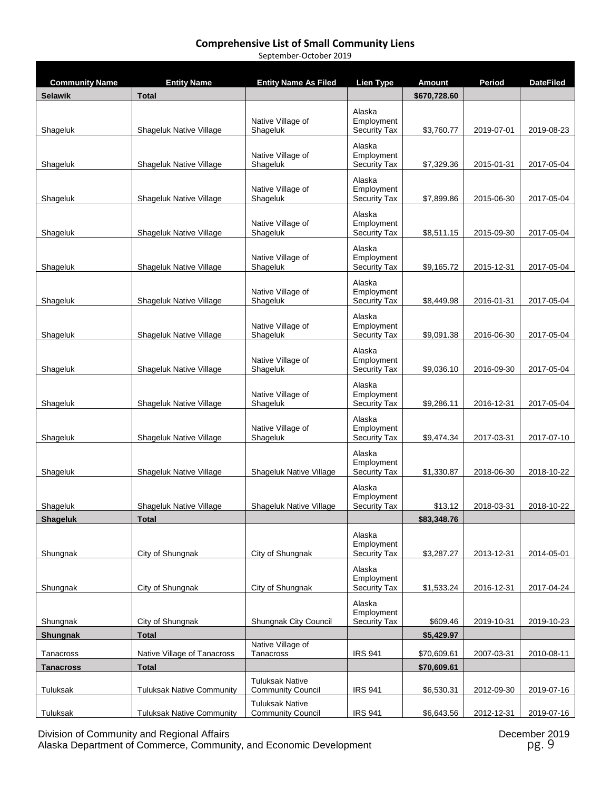| September-October 2019 |
|------------------------|
|------------------------|

| <b>Community Name</b> | <b>Entity Name</b>               | Entity Name As Filed                               | Lien Type                                   | Amount       | Period     | DateFiled  |
|-----------------------|----------------------------------|----------------------------------------------------|---------------------------------------------|--------------|------------|------------|
| <b>Selawik</b>        | <b>Total</b>                     |                                                    |                                             | \$670,728.60 |            |            |
| Shageluk              | Shageluk Native Village          | Native Village of<br>Shageluk                      | Alaska<br>Employment<br><b>Security Tax</b> | \$3,760.77   | 2019-07-01 | 2019-08-23 |
| Shageluk              | Shageluk Native Village          | Native Village of<br>Shageluk                      | Alaska<br>Employment<br><b>Security Tax</b> | \$7,329.36   | 2015-01-31 | 2017-05-04 |
| Shageluk              | Shageluk Native Village          | Native Village of<br>Shageluk                      | Alaska<br>Employment<br><b>Security Tax</b> | \$7,899.86   | 2015-06-30 | 2017-05-04 |
| Shageluk              | Shageluk Native Village          | Native Village of<br>Shageluk                      | Alaska<br>Employment<br><b>Security Tax</b> | \$8,511.15   | 2015-09-30 | 2017-05-04 |
| Shageluk              | Shageluk Native Village          | Native Village of<br>Shageluk                      | Alaska<br>Employment<br><b>Security Tax</b> | \$9,165.72   | 2015-12-31 | 2017-05-04 |
| Shageluk              | Shageluk Native Village          | Native Village of<br>Shageluk                      | Alaska<br>Employment<br><b>Security Tax</b> | \$8,449.98   | 2016-01-31 | 2017-05-04 |
| Shageluk              | Shageluk Native Village          | Native Village of<br>Shageluk                      | Alaska<br>Employment<br><b>Security Tax</b> | \$9,091.38   | 2016-06-30 | 2017-05-04 |
| Shageluk              | Shageluk Native Village          | Native Village of<br>Shageluk                      | Alaska<br>Employment<br><b>Security Tax</b> | \$9,036.10   | 2016-09-30 | 2017-05-04 |
| Shageluk              | Shageluk Native Village          | Native Village of<br>Shageluk                      | Alaska<br>Employment<br><b>Security Tax</b> | \$9,286.11   | 2016-12-31 | 2017-05-04 |
| Shageluk              | Shageluk Native Village          | Native Village of<br>Shageluk                      | Alaska<br>Employment<br><b>Security Tax</b> | \$9,474.34   | 2017-03-31 | 2017-07-10 |
| Shageluk              | Shageluk Native Village          | Shageluk Native Village                            | Alaska<br>Employment<br><b>Security Tax</b> | \$1,330.87   | 2018-06-30 | 2018-10-22 |
| Shageluk              | Shageluk Native Village          | Shageluk Native Village                            | Alaska<br>Employment<br>Security Tax        | \$13.12      | 2018-03-31 | 2018-10-22 |
| <b>Shageluk</b>       | <b>Total</b>                     |                                                    |                                             | \$83,348.76  |            |            |
| Shungnak              | City of Shungnak                 | City of Shungnak                                   | Alaska<br>Employment<br>Security Tax        | \$3,287.27   | 2013-12-31 | 2014-05-01 |
| Shungnak              | City of Shungnak                 | City of Shungnak                                   | Alaska<br>Employment<br><b>Security Tax</b> | \$1,533.24   | 2016-12-31 | 2017-04-24 |
| Shungnak              | City of Shungnak                 | Shungnak City Council                              | Alaska<br>Employment<br>Security Tax        | \$609.46     | 2019-10-31 | 2019-10-23 |
| <b>Shungnak</b>       | <b>Total</b>                     |                                                    |                                             | \$5,429.97   |            |            |
| Tanacross             | Native Village of Tanacross      | Native Village of<br>Tanacross                     | <b>IRS 941</b>                              | \$70,609.61  | 2007-03-31 | 2010-08-11 |
| <b>Tanacross</b>      | <b>Total</b>                     |                                                    |                                             | \$70,609.61  |            |            |
| Tuluksak              | <b>Tuluksak Native Community</b> | <b>Tuluksak Native</b><br><b>Community Council</b> | <b>IRS 941</b>                              | \$6,530.31   | 2012-09-30 | 2019-07-16 |
| Tuluksak              | <b>Tuluksak Native Community</b> | <b>Tuluksak Native</b><br><b>Community Council</b> | <b>IRS 941</b>                              | \$6,643.56   | 2012-12-31 | 2019-07-16 |

Division of Community and Regional Affairs December 2019 Alaska Department of Commerce, Community, and Economic Development **part of the entity of the entity of the entity** pg. 9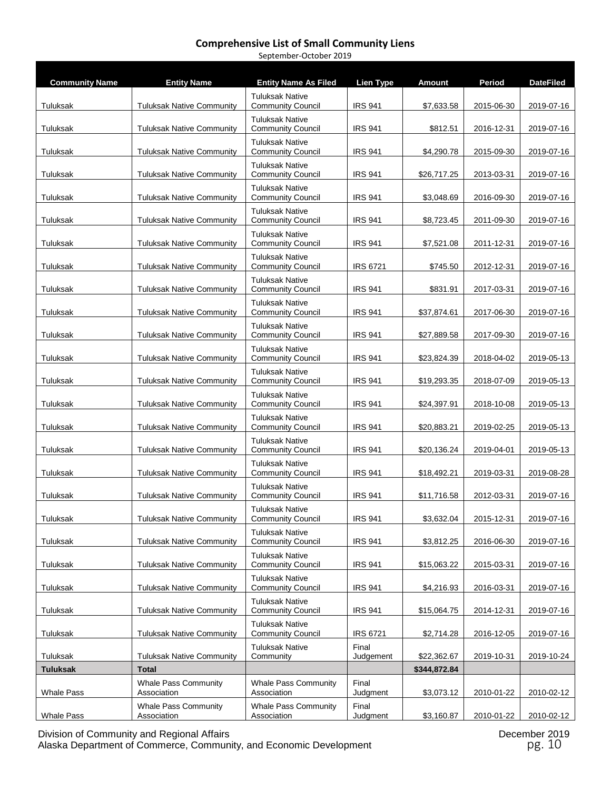| <b>Community Name</b> | <b>Entity Name</b>                         | <b>Entity Name As Filed</b>                        | <b>Lien Type</b>   | <b>Amount</b> | Period     | <b>DateFiled</b> |
|-----------------------|--------------------------------------------|----------------------------------------------------|--------------------|---------------|------------|------------------|
| Tuluksak              | <b>Tuluksak Native Community</b>           | <b>Tuluksak Native</b><br><b>Community Council</b> | <b>IRS 941</b>     | \$7,633.58    | 2015-06-30 | 2019-07-16       |
| Tuluksak              | <b>Tuluksak Native Community</b>           | <b>Tuluksak Native</b><br><b>Community Council</b> | <b>IRS 941</b>     | \$812.51      | 2016-12-31 | 2019-07-16       |
| Tuluksak              | <b>Tuluksak Native Community</b>           | <b>Tuluksak Native</b><br><b>Community Council</b> | <b>IRS 941</b>     | \$4,290.78    | 2015-09-30 | 2019-07-16       |
| Tuluksak              | <b>Tuluksak Native Community</b>           | <b>Tuluksak Native</b><br><b>Community Council</b> | <b>IRS 941</b>     | \$26,717.25   | 2013-03-31 | 2019-07-16       |
|                       |                                            | <b>Tuluksak Native</b>                             |                    |               |            |                  |
| Tuluksak              | <b>Tuluksak Native Community</b>           | <b>Community Council</b><br><b>Tuluksak Native</b> | <b>IRS 941</b>     | \$3,048.69    | 2016-09-30 | 2019-07-16       |
| Tuluksak              | <b>Tuluksak Native Community</b>           | <b>Community Council</b><br><b>Tuluksak Native</b> | <b>IRS 941</b>     | \$8,723.45    | 2011-09-30 | 2019-07-16       |
| Tuluksak              | <b>Tuluksak Native Community</b>           | <b>Community Council</b>                           | <b>IRS 941</b>     | \$7,521.08    | 2011-12-31 | 2019-07-16       |
| Tuluksak              | <b>Tuluksak Native Community</b>           | <b>Tuluksak Native</b><br><b>Community Council</b> | <b>IRS 6721</b>    | \$745.50      | 2012-12-31 | 2019-07-16       |
| Tuluksak              | <b>Tuluksak Native Community</b>           | <b>Tuluksak Native</b><br><b>Community Council</b> | <b>IRS 941</b>     | \$831.91      | 2017-03-31 | 2019-07-16       |
| Tuluksak              | <b>Tuluksak Native Community</b>           | <b>Tuluksak Native</b><br><b>Community Council</b> | <b>IRS 941</b>     | \$37,874.61   | 2017-06-30 | 2019-07-16       |
| Tuluksak              | <b>Tuluksak Native Community</b>           | <b>Tuluksak Native</b><br><b>Community Council</b> | <b>IRS 941</b>     | \$27,889.58   | 2017-09-30 | 2019-07-16       |
| Tuluksak              | <b>Tuluksak Native Community</b>           | <b>Tuluksak Native</b><br><b>Community Council</b> | <b>IRS 941</b>     | \$23,824.39   | 2018-04-02 | 2019-05-13       |
| Tuluksak              | <b>Tuluksak Native Community</b>           | <b>Tuluksak Native</b><br><b>Community Council</b> | <b>IRS 941</b>     | \$19,293.35   | 2018-07-09 | 2019-05-13       |
| Tuluksak              | <b>Tuluksak Native Community</b>           | <b>Tuluksak Native</b><br><b>Community Council</b> | <b>IRS 941</b>     | \$24,397.91   | 2018-10-08 | 2019-05-13       |
| Tuluksak              | <b>Tuluksak Native Community</b>           | <b>Tuluksak Native</b><br><b>Community Council</b> | <b>IRS 941</b>     | \$20,883.21   | 2019-02-25 | 2019-05-13       |
| Tuluksak              | <b>Tuluksak Native Community</b>           | <b>Tuluksak Native</b><br><b>Community Council</b> | <b>IRS 941</b>     | \$20,136.24   | 2019-04-01 | 2019-05-13       |
| Tuluksak              | <b>Tuluksak Native Community</b>           | <b>Tuluksak Native</b><br><b>Community Council</b> | <b>IRS 941</b>     | \$18,492.21   | 2019-03-31 | 2019-08-28       |
| Tuluksak              | <b>Tuluksak Native Community</b>           | <b>Tuluksak Native</b><br><b>Community Council</b> | <b>IRS 941</b>     | \$11.716.58   | 2012-03-31 | 2019-07-16       |
| Tuluksak              | <b>Tuluksak Native Community</b>           | <b>Tuluksak Native</b><br><b>Community Council</b> | <b>IRS 941</b>     | \$3,632.04    | 2015-12-31 | 2019-07-16       |
| Tuluksak              | <b>Tuluksak Native Community</b>           | <b>Tuluksak Native</b><br><b>Community Council</b> | <b>IRS 941</b>     | \$3,812.25    | 2016-06-30 | 2019-07-16       |
| Tuluksak              | <b>Tuluksak Native Community</b>           | <b>Tuluksak Native</b><br><b>Community Council</b> | <b>IRS 941</b>     | \$15,063.22   | 2015-03-31 | 2019-07-16       |
| Tuluksak              | <b>Tuluksak Native Community</b>           | <b>Tuluksak Native</b><br><b>Community Council</b> | <b>IRS 941</b>     | \$4,216.93    | 2016-03-31 | 2019-07-16       |
| Tuluksak              | <b>Tuluksak Native Community</b>           | <b>Tuluksak Native</b><br><b>Community Council</b> | <b>IRS 941</b>     | \$15,064.75   | 2014-12-31 | 2019-07-16       |
| Tuluksak              | <b>Tuluksak Native Community</b>           | <b>Tuluksak Native</b><br><b>Community Council</b> | <b>IRS 6721</b>    | \$2,714.28    | 2016-12-05 | 2019-07-16       |
| Tuluksak              | <b>Tuluksak Native Community</b>           | <b>Tuluksak Native</b><br>Community                | Final<br>Judgement | \$22,362.67   | 2019-10-31 | 2019-10-24       |
| <b>Tuluksak</b>       | <b>Total</b>                               |                                                    |                    | \$344,872.84  |            |                  |
| <b>Whale Pass</b>     | <b>Whale Pass Community</b><br>Association | <b>Whale Pass Community</b><br>Association         | Final<br>Judgment  | \$3,073.12    | 2010-01-22 | 2010-02-12       |
| Whale Pass            | <b>Whale Pass Community</b><br>Association | <b>Whale Pass Community</b><br>Association         | Final<br>Judgment  | \$3,160.87    | 2010-01-22 | 2010-02-12       |

September-October 2019

Division of Community and Regional Affairs December 2019 Alaska Department of Commerce, Community, and Economic Development **pg. 10** pg. 10